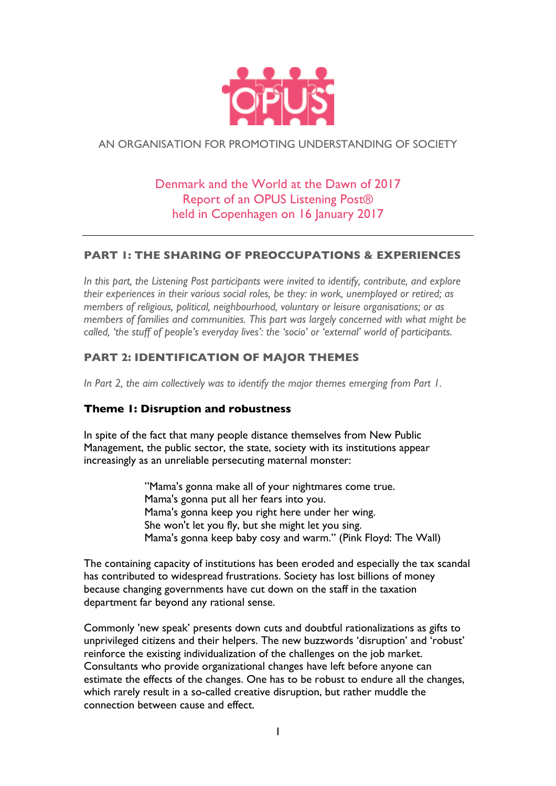

### AN ORGANISATION FOR PROMOTING UNDERSTANDING OF SOCIETY

# Denmark and the World at the Dawn of 2017 Report of an OPUS Listening Post® held in Copenhagen on 16 January 2017

## **PART 1: THE SHARING OF PREOCCUPATIONS & EXPERIENCES**

*In this part, the Listening Post participants were invited to identify, contribute, and explore their experiences in their various social roles, be they: in work, unemployed or retired; as members of religious, political, neighbourhood, voluntary or leisure organisations; or as members of families and communities. This part was largely concerned with what might be called, 'the stuff of people's everyday lives': the 'socio' or 'external' world of participants.*

## **PART 2: IDENTIFICATION OF MAJOR THEMES**

*In Part 2, the aim collectively was to identify the major themes emerging from Part 1.*

### **Theme 1: Disruption and robustness**

In spite of the fact that many people distance themselves from New Public Management, the public sector, the state, society with its institutions appear increasingly as an unreliable persecuting maternal monster:

> "Mama's gonna make all of your nightmares come true. Mama's gonna put all her fears into you. Mama's gonna keep you right here under her wing. She won't let you fly, but she might let you sing. Mama's gonna keep baby cosy and warm." (Pink Floyd: The Wall)

The containing capacity of institutions has been eroded and especially the tax scandal has contributed to widespread frustrations. Society has lost billions of money because changing governments have cut down on the staff in the taxation department far beyond any rational sense.

Commonly 'new speak' presents down cuts and doubtful rationalizations as gifts to unprivileged citizens and their helpers. The new buzzwords 'disruption' and 'robust' reinforce the existing individualization of the challenges on the job market. Consultants who provide organizational changes have left before anyone can estimate the effects of the changes. One has to be robust to endure all the changes, which rarely result in a so-called creative disruption, but rather muddle the connection between cause and effect.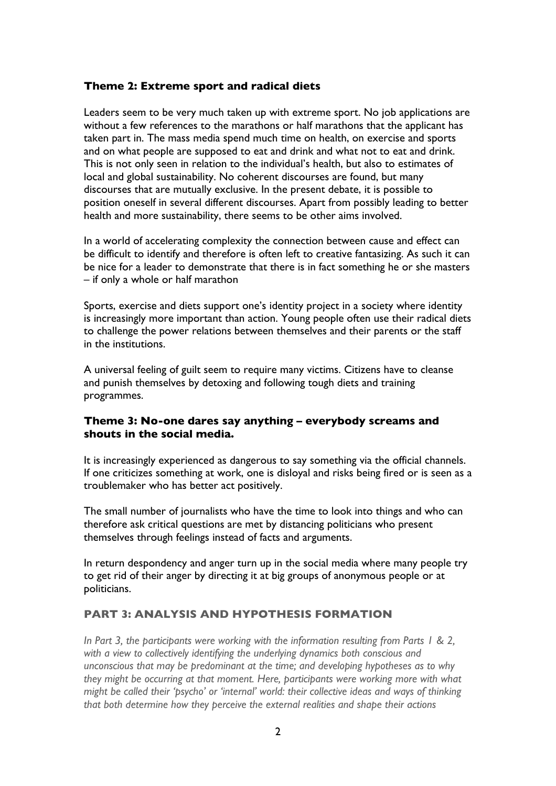#### **Theme 2: Extreme sport and radical diets**

Leaders seem to be very much taken up with extreme sport. No job applications are without a few references to the marathons or half marathons that the applicant has taken part in. The mass media spend much time on health, on exercise and sports and on what people are supposed to eat and drink and what not to eat and drink. This is not only seen in relation to the individual's health, but also to estimates of local and global sustainability. No coherent discourses are found, but many discourses that are mutually exclusive. In the present debate, it is possible to position oneself in several different discourses. Apart from possibly leading to better health and more sustainability, there seems to be other aims involved.

In a world of accelerating complexity the connection between cause and effect can be difficult to identify and therefore is often left to creative fantasizing. As such it can be nice for a leader to demonstrate that there is in fact something he or she masters – if only a whole or half marathon

Sports, exercise and diets support one's identity project in a society where identity is increasingly more important than action. Young people often use their radical diets to challenge the power relations between themselves and their parents or the staff in the institutions.

A universal feeling of guilt seem to require many victims. Citizens have to cleanse and punish themselves by detoxing and following tough diets and training programmes.

#### **Theme 3: No-one dares say anything – everybody screams and shouts in the social media.**

It is increasingly experienced as dangerous to say something via the official channels. If one criticizes something at work, one is disloyal and risks being fired or is seen as a troublemaker who has better act positively.

The small number of journalists who have the time to look into things and who can therefore ask critical questions are met by distancing politicians who present themselves through feelings instead of facts and arguments.

In return despondency and anger turn up in the social media where many people try to get rid of their anger by directing it at big groups of anonymous people or at politicians.

#### **PART 3: ANALYSIS AND HYPOTHESIS FORMATION**

*In Part 3, the participants were working with the information resulting from Parts 1 & 2, with a view to collectively identifying the underlying dynamics both conscious and unconscious that may be predominant at the time; and developing hypotheses as to why they might be occurring at that moment. Here, participants were working more with what might be called their 'psycho' or 'internal' world: their collective ideas and ways of thinking that both determine how they perceive the external realities and shape their actions*